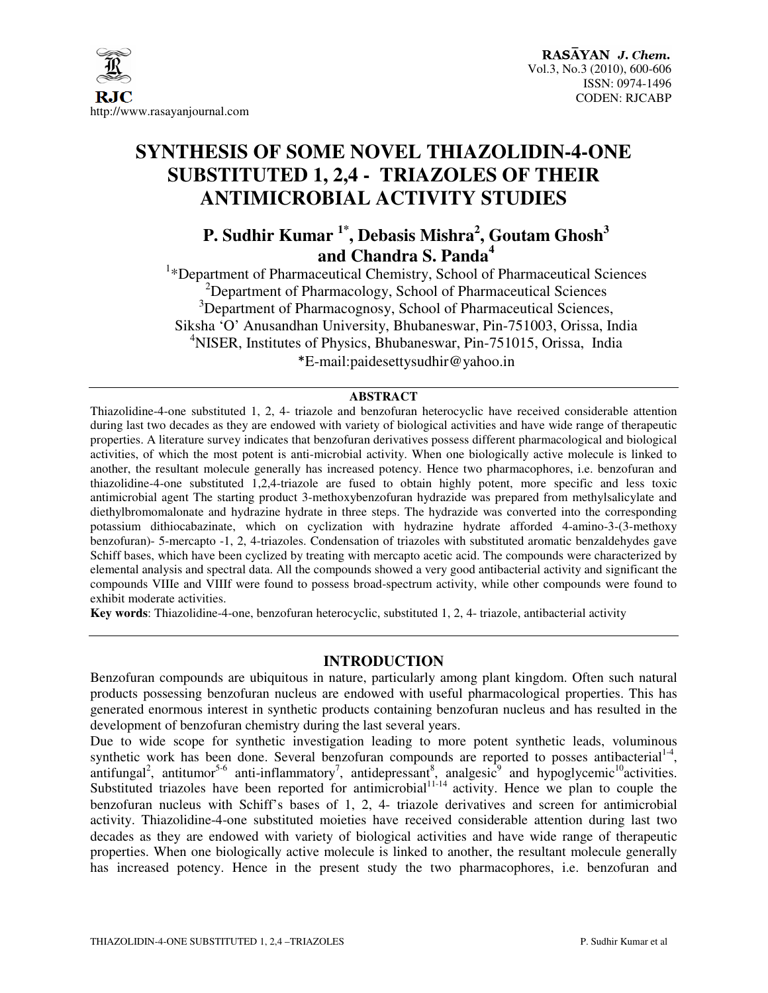

# **SYNTHESIS OF SOME NOVEL THIAZOLIDIN-4-ONE SUBSTITUTED 1, 2,4 - TRIAZOLES OF THEIR ANTIMICROBIAL ACTIVITY STUDIES**

## **P. Sudhir Kumar 1\*, Debasis Mishra<sup>2</sup> , Goutam Ghosh<sup>3</sup> and Chandra S. Panda<sup>4</sup>**

<sup>1</sup>\*Department of Pharmaceutical Chemistry, School of Pharmaceutical Sciences  $2D$ epartment of Pharmacology, School of Pharmaceutical Sciences <sup>3</sup>Department of Pharmacognosy, School of Pharmaceutical Sciences, Siksha 'O' Anusandhan University, Bhubaneswar, Pin-751003, Orissa, India <sup>4</sup>NISER, Institutes of Physics, Bhubaneswar, Pin-751015, Orissa, India \*E-mail:paidesettysudhir@yahoo.in

#### **ABSTRACT**

Thiazolidine-4-one substituted 1, 2, 4- triazole and benzofuran heterocyclic have received considerable attention during last two decades as they are endowed with variety of biological activities and have wide range of therapeutic properties. A literature survey indicates that benzofuran derivatives possess different pharmacological and biological activities, of which the most potent is anti-microbial activity. When one biologically active molecule is linked to another, the resultant molecule generally has increased potency. Hence two pharmacophores, i.e. benzofuran and thiazolidine-4-one substituted 1,2,4-triazole are fused to obtain highly potent, more specific and less toxic antimicrobial agent The starting product 3-methoxybenzofuran hydrazide was prepared from methylsalicylate and diethylbromomalonate and hydrazine hydrate in three steps. The hydrazide was converted into the corresponding potassium dithiocabazinate, which on cyclization with hydrazine hydrate afforded 4-amino-3-(3-methoxy benzofuran)- 5-mercapto -1, 2, 4-triazoles. Condensation of triazoles with substituted aromatic benzaldehydes gave Schiff bases, which have been cyclized by treating with mercapto acetic acid. The compounds were characterized by elemental analysis and spectral data. All the compounds showed a very good antibacterial activity and significant the compounds VIIIe and VIIIf were found to possess broad-spectrum activity, while other compounds were found to exhibit moderate activities.

**Key words**: Thiazolidine-4-one, benzofuran heterocyclic, substituted 1, 2, 4- triazole, antibacterial activity

#### **INTRODUCTION**

Benzofuran compounds are ubiquitous in nature, particularly among plant kingdom. Often such natural products possessing benzofuran nucleus are endowed with useful pharmacological properties. This has generated enormous interest in synthetic products containing benzofuran nucleus and has resulted in the development of benzofuran chemistry during the last several years.

Due to wide scope for synthetic investigation leading to more potent synthetic leads, voluminous synthetic work has been done. Several benzofuran compounds are reported to posses antibacterial<sup>1-4</sup>, antifungal<sup>2</sup>, antitumor<sup>5-6</sup> anti-inflammatory<sup>7</sup>, antidepressant<sup>8</sup>, analgesic<sup>9</sup> and hypoglycemic<sup>10</sup>activities. Substituted triazoles have been reported for antimicrobial $11-14$  activity. Hence we plan to couple the benzofuran nucleus with Schiff's bases of 1, 2, 4- triazole derivatives and screen for antimicrobial activity. Thiazolidine-4-one substituted moieties have received considerable attention during last two decades as they are endowed with variety of biological activities and have wide range of therapeutic properties. When one biologically active molecule is linked to another, the resultant molecule generally has increased potency. Hence in the present study the two pharmacophores, i.e. benzofuran and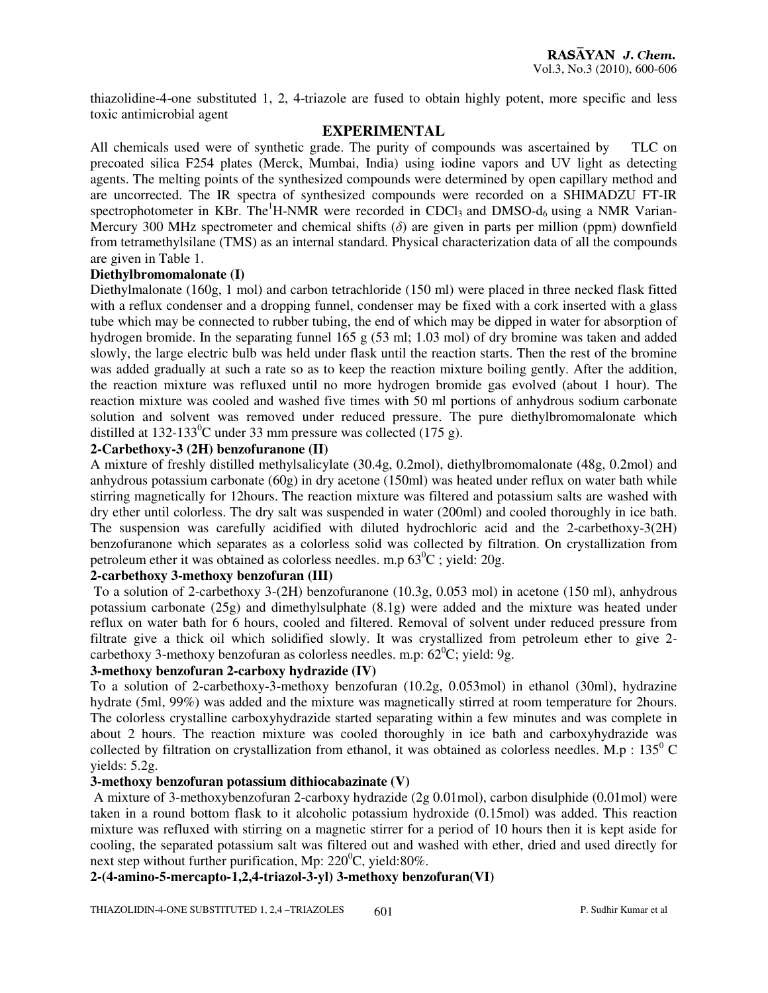thiazolidine-4-one substituted 1, 2, 4-triazole are fused to obtain highly potent, more specific and less toxic antimicrobial agent

#### **EXPERIMENTAL**

All chemicals used were of synthetic grade. The purity of compounds was ascertained by TLC on precoated silica F254 plates (Merck, Mumbai, India) using iodine vapors and UV light as detecting agents. The melting points of the synthesized compounds were determined by open capillary method and are uncorrected. The IR spectra of synthesized compounds were recorded on a SHIMADZU FT-IR spectrophotometer in KBr. The<sup>1</sup>H-NMR were recorded in CDCl<sub>3</sub> and DMSO- $d_6$  using a NMR Varian-Mercury 300 MHz spectrometer and chemical shifts  $(\delta)$  are given in parts per million (ppm) downfield from tetramethylsilane (TMS) as an internal standard. Physical characterization data of all the compounds are given in Table 1.

#### **Diethylbromomalonate (I)**

Diethylmalonate (160g, 1 mol) and carbon tetrachloride (150 ml) were placed in three necked flask fitted with a reflux condenser and a dropping funnel, condenser may be fixed with a cork inserted with a glass tube which may be connected to rubber tubing, the end of which may be dipped in water for absorption of hydrogen bromide. In the separating funnel 165 g (53 ml; 1.03 mol) of dry bromine was taken and added slowly, the large electric bulb was held under flask until the reaction starts. Then the rest of the bromine was added gradually at such a rate so as to keep the reaction mixture boiling gently. After the addition, the reaction mixture was refluxed until no more hydrogen bromide gas evolved (about 1 hour). The reaction mixture was cooled and washed five times with 50 ml portions of anhydrous sodium carbonate solution and solvent was removed under reduced pressure. The pure diethylbromomalonate which distilled at 132-133<sup>0</sup>C under 33 mm pressure was collected (175 g).

#### **2-Carbethoxy-3 (2H) benzofuranone (II)**

A mixture of freshly distilled methylsalicylate (30.4g, 0.2mol), diethylbromomalonate (48g, 0.2mol) and anhydrous potassium carbonate (60g) in dry acetone (150ml) was heated under reflux on water bath while stirring magnetically for 12hours. The reaction mixture was filtered and potassium salts are washed with dry ether until colorless. The dry salt was suspended in water (200ml) and cooled thoroughly in ice bath. The suspension was carefully acidified with diluted hydrochloric acid and the 2-carbethoxy-3(2H) benzofuranone which separates as a colorless solid was collected by filtration. On crystallization from petroleum ether it was obtained as colorless needles. m.p  $63^{\circ}$ C ; yield: 20g.

#### **2-carbethoxy 3-methoxy benzofuran (III)**

 To a solution of 2-carbethoxy 3-(2H) benzofuranone (10.3g, 0.053 mol) in acetone (150 ml), anhydrous potassium carbonate (25g) and dimethylsulphate (8.1g) were added and the mixture was heated under reflux on water bath for 6 hours, cooled and filtered. Removal of solvent under reduced pressure from filtrate give a thick oil which solidified slowly. It was crystallized from petroleum ether to give 2 carbethoxy 3-methoxy benzofuran as colorless needles. m.p:  $62^{\circ}$ C; yield: 9g.

#### **3-methoxy benzofuran 2-carboxy hydrazide (IV)**

To a solution of 2-carbethoxy-3-methoxy benzofuran (10.2g, 0.053mol) in ethanol (30ml), hydrazine hydrate (5ml, 99%) was added and the mixture was magnetically stirred at room temperature for 2hours. The colorless crystalline carboxyhydrazide started separating within a few minutes and was complete in about 2 hours. The reaction mixture was cooled thoroughly in ice bath and carboxyhydrazide was collected by filtration on crystallization from ethanol, it was obtained as colorless needles. M.p :  $135^{\circ}$  C yields: 5.2g.

#### **3-methoxy benzofuran potassium dithiocabazinate (V)**

A mixture of 3-methoxybenzofuran 2-carboxy hydrazide (2g 0.01mol), carbon disulphide (0.01mol) were taken in a round bottom flask to it alcoholic potassium hydroxide (0.15mol) was added. This reaction mixture was refluxed with stirring on a magnetic stirrer for a period of 10 hours then it is kept aside for cooling, the separated potassium salt was filtered out and washed with ether, dried and used directly for next step without further purification, Mp:  $220^{\circ}$ C, yield:80%.

#### **2-(4-amino-5-mercapto-1,2,4-triazol-3-yl) 3-methoxy benzofuran(VI)**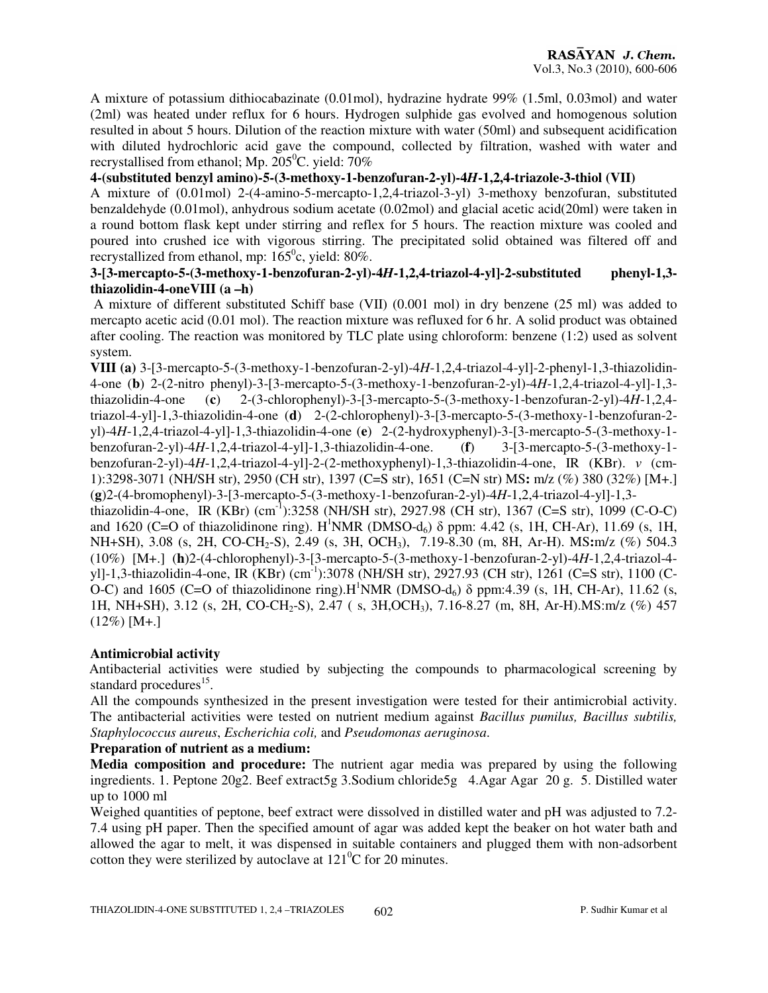A mixture of potassium dithiocabazinate (0.01mol), hydrazine hydrate 99% (1.5ml, 0.03mol) and water (2ml) was heated under reflux for 6 hours. Hydrogen sulphide gas evolved and homogenous solution resulted in about 5 hours. Dilution of the reaction mixture with water (50ml) and subsequent acidification with diluted hydrochloric acid gave the compound, collected by filtration, washed with water and recrystallised from ethanol; Mp.  $205^{\circ}$ C. yield: 70%

#### **4-(substituted benzyl amino)-5-(3-methoxy-1-benzofuran-2-yl)-4***H***-1,2,4-triazole-3-thiol (VII)**

A mixture of (0.01mol) 2-(4-amino-5-mercapto-1,2,4-triazol-3-yl) 3-methoxy benzofuran, substituted benzaldehyde (0.01mol), anhydrous sodium acetate (0.02mol) and glacial acetic acid(20ml) were taken in a round bottom flask kept under stirring and reflex for 5 hours. The reaction mixture was cooled and poured into crushed ice with vigorous stirring. The precipitated solid obtained was filtered off and recrystallized from ethanol, mp:  $165^{\circ}$ c, yield: 80%.

#### **3-[3-mercapto-5-(3-methoxy-1-benzofuran-2-yl)-4***H***-1,2,4-triazol-4-yl]-2-substituted phenyl-1,3 thiazolidin-4-oneVIII (a –h)**

A mixture of different substituted Schiff base (VII) (0.001 mol) in dry benzene (25 ml) was added to mercapto acetic acid (0.01 mol). The reaction mixture was refluxed for 6 hr. A solid product was obtained after cooling. The reaction was monitored by TLC plate using chloroform: benzene (1:2) used as solvent system.

**VIII (a)** 3-[3-mercapto-5-(3-methoxy-1-benzofuran-2-yl)-4*H*-1,2,4-triazol-4-yl]-2-phenyl-1,3-thiazolidin-4-one (**b**) 2-(2-nitro phenyl)-3-[3-mercapto-5-(3-methoxy-1-benzofuran-2-yl)-4*H*-1,2,4-triazol-4-yl]-1,3 thiazolidin-4-one (**c**) 2-(3-chlorophenyl)-3-[3-mercapto-5-(3-methoxy-1-benzofuran-2-yl)-4*H*-1,2,4 triazol-4-yl]-1,3-thiazolidin-4-one (**d**) 2-(2-chlorophenyl)-3-[3-mercapto-5-(3-methoxy-1-benzofuran-2 yl)-4*H*-1,2,4-triazol-4-yl]-1,3-thiazolidin-4-one (**e**) 2-(2-hydroxyphenyl)-3-[3-mercapto-5-(3-methoxy-1 benzofuran-2-yl)-4*H*-1,2,4-triazol-4-yl]-1,3-thiazolidin-4-one. (**f**) 3-[3-mercapto-5-(3-methoxy-1 benzofuran-2-yl)-4*H*-1,2,4-triazol-4-yl]-2-(2-methoxyphenyl)-1,3-thiazolidin-4-one, IR (KBr). ν (cm-1):3298-3071 (NH/SH str), 2950 (CH str), 1397 (C=S str), 1651 (C=N str) MS**:** m/z (%) 380 (32%) [M+.] (**g**)2-(4-bromophenyl)-3-[3-mercapto-5-(3-methoxy-1-benzofuran-2-yl)-4*H*-1,2,4-triazol-4-yl]-1,3 thiazolidin-4-one,IR (KBr) (cm-1):3258 (NH/SH str), 2927.98 (CH str), 1367 (C=S str), 1099 (C-O-C) and 1620 (C=O of thiazolidinone ring). H<sup>1</sup>NMR (DMSO-d<sub>6</sub>)  $\delta$  ppm: 4.42 (s, 1H, CH-Ar), 11.69 (s, 1H, NH+SH), 3.08 (s, 2H, CO-CH<sub>2</sub>-S), 2.49 (s, 3H, OCH<sub>3</sub>), 7.19-8.30 (m, 8H, Ar-H). MS:m/z (%) 504.3 (10%) [M+.] (**h**)2-(4-chlorophenyl)-3-[3-mercapto-5-(3-methoxy-1-benzofuran-2-yl)-4*H*-1,2,4-triazol-4 yl]-1,3-thiazolidin-4-one, IR (KBr) (cm-1):3078 (NH/SH str), 2927.93 (CH str), 1261 (C=S str), 1100 (C-O-C) and 1605 (C=O of thiazolidinone ring).H<sup>1</sup>NMR (DMSO-d<sub>6</sub>)  $\delta$  ppm:4.39 (s, 1H, CH-Ar), 11.62 (s, 1H, NH+SH), 3.12 (s, 2H, CO-CH2-S), 2.47 ( s, 3H,OCH3), 7.16-8.27 (m, 8H, Ar-H).MS:m/z (%) 457

#### **Antimicrobial activity**

 $(12\%)$  [M+.]

Antibacterial activities were studied by subjecting the compounds to pharmacological screening by standard procedures<sup>15</sup>.

All the compounds synthesized in the present investigation were tested for their antimicrobial activity. The antibacterial activities were tested on nutrient medium against *Bacillus pumilus, Bacillus subtilis, Staphylococcus aureus*, *Escherichia coli,* and *Pseudomonas aeruginosa*.

#### **Preparation of nutrient as a medium:**

**Media composition and procedure:** The nutrient agar media was prepared by using the following ingredients. 1. Peptone 20g2. Beef extract5g 3.Sodium chloride5g 4.Agar Agar 20 g. 5. Distilled water up to 1000 ml

Weighed quantities of peptone, beef extract were dissolved in distilled water and pH was adjusted to 7.2- 7.4 using pH paper. Then the specified amount of agar was added kept the beaker on hot water bath and allowed the agar to melt, it was dispensed in suitable containers and plugged them with non-adsorbent cotton they were sterilized by autoclave at  $121^{\circ}$ C for 20 minutes.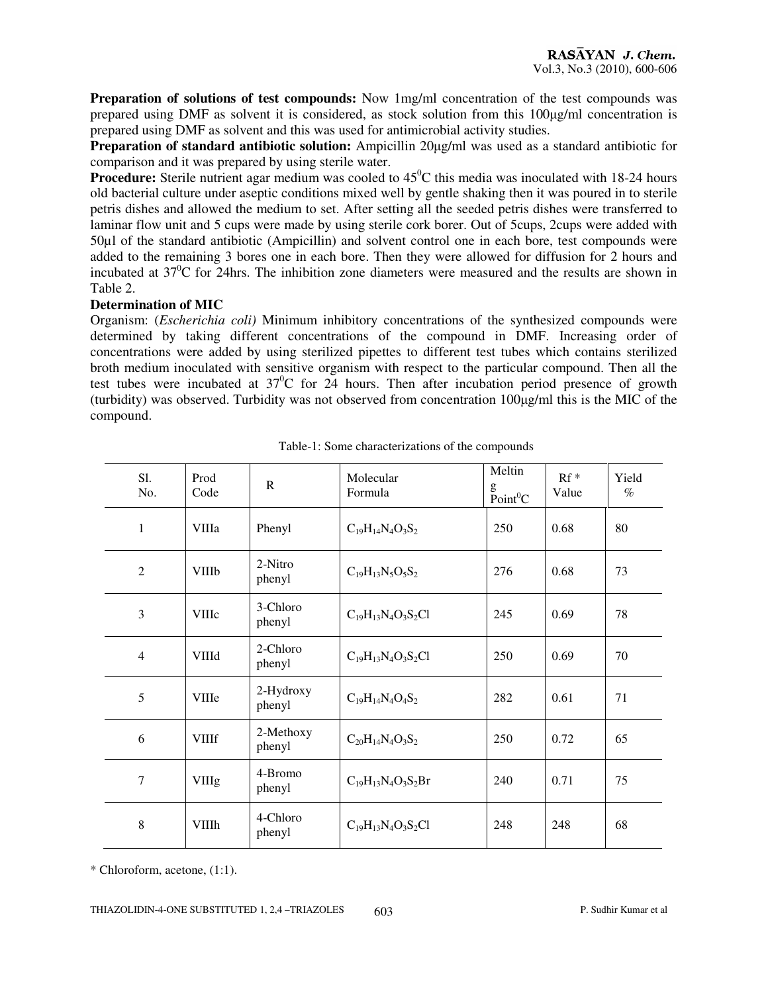**Preparation of solutions of test compounds:** Now 1mg/ml concentration of the test compounds was prepared using DMF as solvent it is considered, as stock solution from this 100µg/ml concentration is prepared using DMF as solvent and this was used for antimicrobial activity studies.

**Preparation of standard antibiotic solution:** Ampicillin 20µg/ml was used as a standard antibiotic for comparison and it was prepared by using sterile water.

**Procedure:** Sterile nutrient agar medium was cooled to 45<sup>°</sup>C this media was inoculated with 18-24 hours old bacterial culture under aseptic conditions mixed well by gentle shaking then it was poured in to sterile petris dishes and allowed the medium to set. After setting all the seeded petris dishes were transferred to laminar flow unit and 5 cups were made by using sterile cork borer. Out of 5cups, 2cups were added with 50µl of the standard antibiotic (Ampicillin) and solvent control one in each bore, test compounds were added to the remaining 3 bores one in each bore. Then they were allowed for diffusion for 2 hours and incubated at  $37^{\circ}$ C for 24hrs. The inhibition zone diameters were measured and the results are shown in Table 2.

#### **Determination of MIC**

Organism: (*Escherichia coli)* Minimum inhibitory concentrations of the synthesized compounds were determined by taking different concentrations of the compound in DMF. Increasing order of concentrations were added by using sterilized pipettes to different test tubes which contains sterilized broth medium inoculated with sensitive organism with respect to the particular compound. Then all the test tubes were incubated at  $37^{\circ}$ C for 24 hours. Then after incubation period presence of growth (turbidity) was observed. Turbidity was not observed from concentration 100µg/ml this is the MIC of the compound.

| Sl.<br>No.     | Prod<br>Code | $\mathbb{R}$        | Molecular<br>Formula      | Meltin<br>g<br>$\text{Point}^0$ C | $Rf^*$<br>Value | Yield<br>$\%$ |
|----------------|--------------|---------------------|---------------------------|-----------------------------------|-----------------|---------------|
| 1              | <b>VIIIa</b> | Phenyl              | $C_{19}H_{14}N_4O_3S_2$   | 250                               | 0.68            | 80            |
| $\overline{2}$ | <b>VIIIb</b> | 2-Nitro<br>phenyl   | $C_{19}H_{13}N_5O_5S_2$   | 276                               | 0.68            | 73            |
| 3              | <b>VIIIc</b> | 3-Chloro<br>phenyl  | $C_{19}H_{13}N_4O_3S_2Cl$ | 245                               | 0.69            | 78            |
| $\overline{4}$ | <b>VIIId</b> | 2-Chloro<br>phenyl  | $C_{19}H_{13}N_4O_3S_2Cl$ | 250                               | 0.69            | 70            |
| 5              | <b>VIIIe</b> | 2-Hydroxy<br>phenyl | $C_{19}H_{14}N_4O_4S_2$   | 282                               | 0.61            | 71            |
| 6              | <b>VIIIf</b> | 2-Methoxy<br>phenyl | $C_{20}H_{14}N_4O_3S_2$   | 250                               | 0.72            | 65            |
| 7              | <b>VIIIg</b> | 4-Bromo<br>phenyl   | $C_{19}H_{13}N_4O_3S_2Br$ | 240                               | 0.71            | 75            |
| 8              | <b>VIIIh</b> | 4-Chloro<br>phenyl  | $C_{19}H_{13}N_4O_3S_2Cl$ | 248                               | 248             | 68            |

Table-1: Some characterizations of the compounds

\* Chloroform, acetone, (1:1).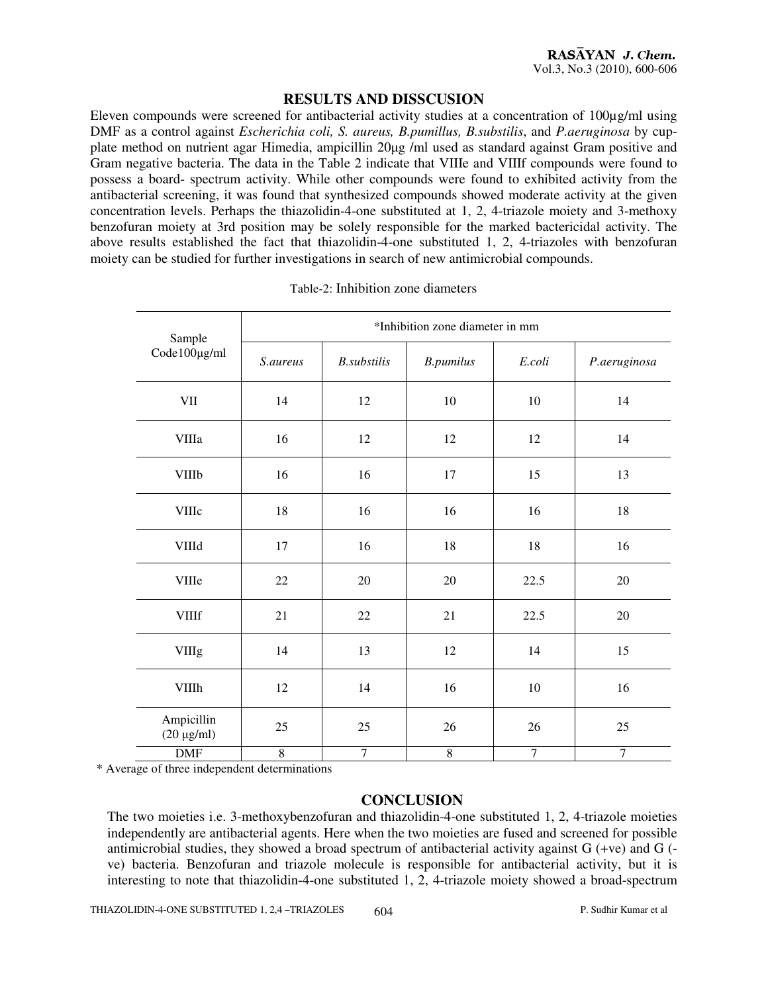#### **RESULTS AND DISSCUSION**

Eleven compounds were screened for antibacterial activity studies at a concentration of 100µg/ml using DMF as a control against *Escherichia coli, S. aureus, B.pumillus, B.substilis*, and *P.aeruginosa* by cupplate method on nutrient agar Himedia, ampicillin 20µg /ml used as standard against Gram positive and Gram negative bacteria. The data in the Table 2 indicate that VIIIe and VIIIf compounds were found to possess a board- spectrum activity. While other compounds were found to exhibited activity from the antibacterial screening, it was found that synthesized compounds showed moderate activity at the given concentration levels. Perhaps the thiazolidin-4-one substituted at 1, 2, 4-triazole moiety and 3-methoxy benzofuran moiety at 3rd position may be solely responsible for the marked bactericidal activity. The above results established the fact that thiazolidin-4-one substituted 1, 2, 4-triazoles with benzofuran moiety can be studied for further investigations in search of new antimicrobial compounds.

| Sample                        | *Inhibition zone diameter in mm |                     |                  |        |              |  |  |  |
|-------------------------------|---------------------------------|---------------------|------------------|--------|--------------|--|--|--|
| Code100µg/ml                  | S.aureus                        | <b>B.</b> substilis | <b>B.pumilus</b> | E.coli | P.aeruginosa |  |  |  |
| <b>VII</b>                    | 14                              | 12                  | $10\,$           | 10     | 14           |  |  |  |
| <b>VIIIa</b>                  | 16                              | 12                  | 12               | 12     | 14           |  |  |  |
| <b>VIIIb</b>                  | 16                              | 16                  | 17               | 15     | 13           |  |  |  |
| <b>VIIIc</b>                  | 18                              | 16                  | 16               | 16     | 18           |  |  |  |
| <b>VIIId</b>                  | 17                              | 16                  | 18               | 18     | 16           |  |  |  |
| <b>VIIIe</b>                  | 22                              | 20                  | 20               | 22.5   | $20\,$       |  |  |  |
| <b>VIIIf</b>                  | 21                              | 22                  | 21               | 22.5   | $20\,$       |  |  |  |
| <b>VIIIg</b>                  | 14                              | 13                  | 12               | 14     | 15           |  |  |  |
| <b>VIIIh</b>                  | 12                              | 14                  | 16               | $10\,$ | 16           |  |  |  |
| Ampicillin<br>$(20 \mu g/ml)$ | 25                              | 25                  | 26               | 26     | 25           |  |  |  |
| <b>DMF</b>                    | $\,8\,$                         | 7                   | $\,$ 8 $\,$      | $\tau$ | $\tau$       |  |  |  |

#### Table-2: Inhibition zone diameters

\* Average of three independent determinations

#### **CONCLUSION**

The two moieties i.e. 3-methoxybenzofuran and thiazolidin-4-one substituted 1, 2, 4-triazole moieties independently are antibacterial agents. Here when the two moieties are fused and screened for possible antimicrobial studies, they showed a broad spectrum of antibacterial activity against G (+ve) and G ( ve) bacteria. Benzofuran and triazole molecule is responsible for antibacterial activity, but it is interesting to note that thiazolidin-4-one substituted 1, 2, 4-triazole moiety showed a broad-spectrum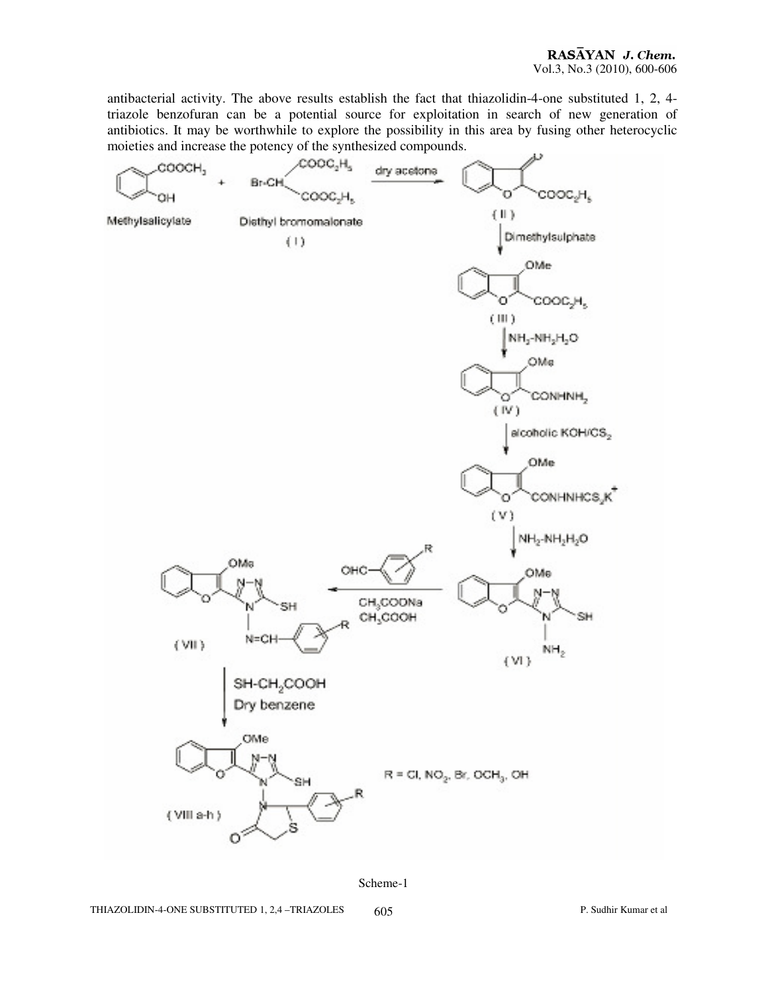antibacterial activity. The above results establish the fact that thiazolidin-4-one substituted 1, 2, 4 triazole benzofuran can be a potential source for exploitation in search of new generation of antibiotics. It may be worthwhile to explore the possibility in this area by fusing other heterocyclic moieties and increase the potency of the synthesized compounds.



Scheme-1